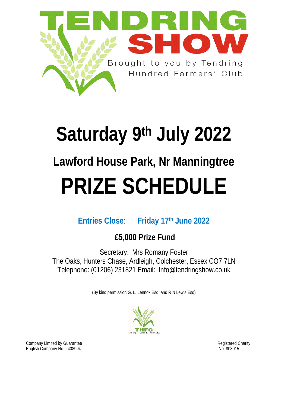

# **Saturday 9th July 2022 Lawford House Park, Nr Manningtree PRIZE SCHEDULE**

### **Entries Close**: **Friday 17th June 2022**

## **£5,000 Prize Fund**

Secretary: Mrs Romany Foster The Oaks, Hunters Chase, Ardleigh, Colchester, Essex CO7 7LN Telephone: (01206) 231821 Email: Info@tendringshow.co.uk

(By kind permission G. L. Lennox Esq; and R N Lewis Esq)



Company Limited by Guarantee **Registered Charity** Company Limited by Guarantee Registered Charity English Company No 2408904 Note and the set of the set of the set of the set of the set of the set of the set of the set of the set of the set of the set of the set of the set of the set of the set of the set of the set of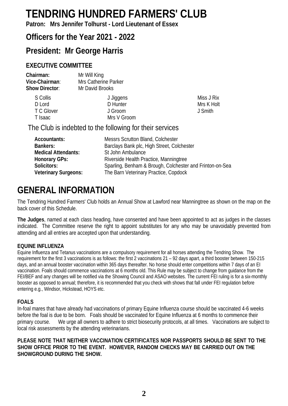## **TENDRING HUNDRED FARMERS' CLUB**

**Patron: Mrs Jennifer Tolhurst - Lord Lieutenant of Essex**

### **Officers for the Year 2021 - 2022**

### **President: Mr George Harris**

#### **EXECUTIVE COMMITTEE**

| Mr Will King         |
|----------------------|
| Mrs Catherine Parker |
| Mr David Brooks      |
|                      |

| S Collis   | J Jiggens   |
|------------|-------------|
| D Lord     | D Hunter    |
| T C Glover | J Groom     |
| T Isaac    | Mrs V Groom |
|            |             |

Miss J Rix Mrs K Holt J Smith

The Club is indebted to the following for their services

| Accountants:                | Messrs Scrutton Bland, Colchester                        |
|-----------------------------|----------------------------------------------------------|
| Bankers:                    | Barclays Bank plc, High Street, Colchester               |
| Medical Attendants:         | St John Ambulance                                        |
| Honorary GPs:               | Riverside Health Practice, Manningtree                   |
| Solicitors:                 | Sparling, Benham & Brough, Colchester and Frinton-on-Sea |
| <b>Veterinary Surgeons:</b> | The Barn Veterinary Practice, Copdock                    |

### **GENERAL INFORMATION**

The Tendring Hundred Farmers' Club holds an Annual Show at Lawford near Manningtree as shown on the map on the back cover of this Schedule.

**The Judges**, named at each class heading, have consented and have been appointed to act as judges in the classes indicated. The Committee reserve the right to appoint substitutes for any who may be unavoidably prevented from attending and all entries are accepted upon that understanding.

#### **EQUINE INFLUENZA**

Equine Influenza and Tetanus vaccinations are a compulsory requirement for all horses attending the Tendring Show. The requirement for the first 3 vaccinations is as follows: the first 2 vaccinations 21 – 92 days apart, a third booster between 150-215 days, and an annual booster vaccination within 365 days thereafter. No horse should enter competitions within 7 days of an EI vaccination. Foals should commence vaccinations at 6 months old. This Rule may be subject to change from guidance from the FEI/BEF and any changes will be notified via the Showing Council and ASAO websites. The current FEI ruling is for a six-monthly booster as opposed to annual; therefore, it is recommended that you check with shows that fall under FEI regulation before entering e.g., Windsor, Hickstead, HOYS etc.

#### **FOALS**

In-foal mares that have already had vaccinations of primary Equine Influenza course should be vaccinated 4-6 weeks before the foal is due to be born. Foals should be vaccinated for Equine Influenza at 6 months to commence their primary course. We urge all owners to adhere to strict biosecurity protocols, at all times. Vaccinations are subject to local risk assessments by the attending veterinarians.

**PLEASE NOTE THAT NEITHER VACCINATION CERTIFICATES NOR PASSPORTS SHOULD BE SENT TO THE SHOW OFFICE PRIOR TO THE EVENT.  HOWEVER, RANDOM CHECKS MAY BE CARRIED OUT ON THE SHOWGROUND DURING THE SHOW.**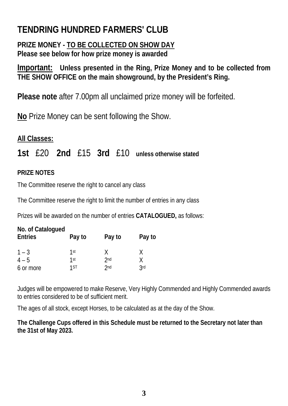## **TENDRING HUNDRED FARMERS' CLUB**

### **PRIZE MONEY - TO BE COLLECTED ON SHOW DAY Please see below for how prize money is awarded**

**Important: Unless presented in the Ring, Prize Money and to be collected from THE SHOW OFFICE on the main showground, by the President's Ring.**

**Please note** after 7.00pm all unclaimed prize money will be forfeited.

**No** Prize Money can be sent following the Show.

### **All Classes:**

**1st** £20 **2nd** £15 **3rd** £10 **unless otherwise stated**

#### **PRIZE NOTES**

The Committee reserve the right to cancel any class

The Committee reserve the right to limit the number of entries in any class

Prizes will be awarded on the number of entries **CATALOGUED,** as follows:

| No. of Catalogued |        |                 |            |
|-------------------|--------|-----------------|------------|
| <b>Entries</b>    | Pay to | Pay to          | Pay to     |
| $1 - 3$           | 1st    | X.              | X          |
| $4 - 5$           | 1st    | 2 <sub>nd</sub> | Χ          |
| 6 or more         | 1ST    | 2 <sub>nd</sub> | <b>3rd</b> |

Judges will be empowered to make Reserve, Very Highly Commended and Highly Commended awards to entries considered to be of sufficient merit.

The ages of all stock, except Horses, to be calculated as at the day of the Show.

**The Challenge Cups offered in this Schedule must be returned to the Secretary not later than the 31st of May 2023.**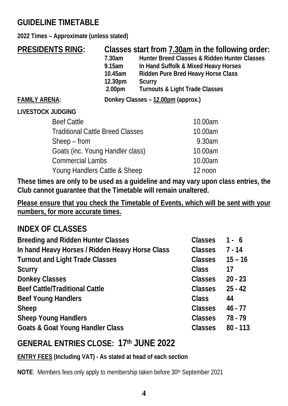### **GUIDELINE TIMETABLE**

**2022 Times – Approximate (unless stated)** 

| <b>PRESIDENTS RING:</b>                 | 7.30am<br>9.15am<br>10.45am<br>12.30pm<br>2.00 <sub>pm</sub> | Classes start from 7.30am in the following order:<br>Hunter Breed Classes & Ridden Hunter Classes<br>In Hand Suffolk & Mixed Heavy Horses<br><b>Ridden Pure Bred Heavy Horse Class</b><br><b>Scurry</b><br><b>Turnouts &amp; Light Trade Classes</b> |
|-----------------------------------------|--------------------------------------------------------------|------------------------------------------------------------------------------------------------------------------------------------------------------------------------------------------------------------------------------------------------------|
| <b>FAMILY ARENA:</b>                    |                                                              | Donkey Classes - 12.00pm (approx.)                                                                                                                                                                                                                   |
| <b>LIVESTOCK JUDGING</b>                |                                                              |                                                                                                                                                                                                                                                      |
| <b>Beef Cattle</b>                      |                                                              | 10.00am                                                                                                                                                                                                                                              |
| <b>Traditional Cattle Breed Classes</b> |                                                              | 10.00am                                                                                                                                                                                                                                              |
| $Sheep$ – from                          |                                                              | 9.30am                                                                                                                                                                                                                                               |
| Goats (inc. Young Handler class)        |                                                              | 10.00am                                                                                                                                                                                                                                              |
| <b>Commercial Lambs</b>                 |                                                              | 10.00am                                                                                                                                                                                                                                              |
| Young Handlers Cattle & Sheep           |                                                              | 12 noon                                                                                                                                                                                                                                              |

**These times are only to be used as a guideline and may vary upon class entries, the Club cannot guarantee that the Timetable will remain unaltered.**

**Please ensure that you check the Timetable of Events, which will be sent with your numbers, for more accurate times.**

### **INDEX OF CLASSES**

| <b>Breeding and Ridden Hunter Classes</b>       | <b>Classes</b> | $1 - 6$    |
|-------------------------------------------------|----------------|------------|
| In hand Heavy Horses / Ridden Heavy Horse Class | <b>Classes</b> | $7 - 14$   |
| <b>Turnout and Light Trade Classes</b>          | <b>Classes</b> | $15 - 16$  |
| <b>Scurry</b>                                   | <b>Class</b>   | 17         |
| <b>Donkey Classes</b>                           | <b>Classes</b> | $20 - 23$  |
| <b>Beef Cattle/Traditional Cattle</b>           | <b>Classes</b> | $25 - 42$  |
| <b>Beef Young Handlers</b>                      | <b>Class</b>   | 44         |
| <b>Sheep</b>                                    | <b>Classes</b> | $46 - 77$  |
| <b>Sheep Young Handlers</b>                     | <b>Classes</b> | 78 - 79    |
| <b>Goats &amp; Goat Young Handler Class</b>     | <b>Classes</b> | $80 - 113$ |
|                                                 |                |            |

### **GENERAL ENTRIES CLOSE: 17th JUNE 2022**

**ENTRY FEES (Including VAT) - As stated at head of each section**

**NOTE:** Members fees only apply to membership taken before 30<sup>th</sup> September 2021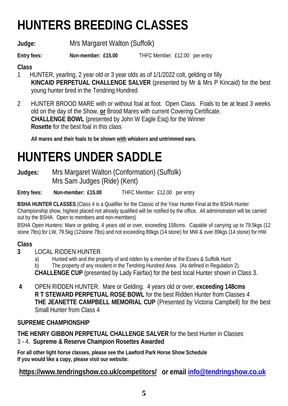# **HUNTERS BREEDING CLASSES**

**Judge:** Mrs Margaret Walton (Suffolk)

**Entry fees:** Non-member: £15.00 THFC Member: £12.00 per entry

#### **Class**

- 1 HUNTER, yearling, 2 year old or 3 year olds as of 1/1/2022 colt, gelding or filly **KINCAID PERPETUAL CHALLENGE SALVER** (presented by Mr & Mrs P Kincaid) for the best young hunter bred in the Tendring Hundred
- 2 HUNTER BROOD MARE with or without foal at foot. Open Class. Foals to be at least 3 weeks old on the day of the Show, **or** Brood Mares with current Covering Certificate. **CHALLENGE BOWL** (presented by John W Eagle Esq) for the Winner **Rosette** for the best foal in this class

**All mares and their foals to be shown with whiskers and untrimmed ears.**

# **HUNTERS UNDER SADDLE**

**Judges:** Mrs Margaret Walton (Conformation) (Suffolk) Mrs Sam Judges (Ride) (Kent)

**Entry fees: Non-member: £15.00** THFC Member: £12.00 per entry

**BSHA HUNTER CLASSES** (Class 4 is a Qualifier for the Classic of the Year Hunter Final at the BSHA Hunter Championship show, highest placed not already qualified will be notified by the office. All administration will be carried out by the BSHA. Open to members and non-members)

BSHA Open Hunters: Mare or gelding, 4 years old or over, exceeding 158cms. Capable of carrying up to 79.5kgs (12 stone 7lbs) for LW, 79.5kg (12stone 7lbs) and not exceeding 89kgs (14 stone) for MW & over 89kgs (14 stone) for HW.

### **Class**

- **3** LOCAL RIDDEN HUNTER
	- a) Hunted with and the property of and ridden by a member of the Essex & Suffolk Hunt

b) The property of any resident in the Tendring Hundred Area. (As defined in Regulation 2). **CHALLENGE CUP** (presented by Lady Fairfax) for the best local Hunter shown in Class 3.

 **4** OPEN RIDDEN HUNTER. Mare or Gelding. 4 years old or over, **exceeding 148cms R T STEWARD PERPETUAL ROSE BOWL** for the best Ridden Hunter from Classes 4 **THE JEANETTE CAMPBELL MEMORIAL CUP** (Presented by Victoria Campbell) for the best Small Hunter from Class 4

#### **SUPREME CHAMPIONSHIP**

**THE HENRY GIBBON PERPETUAL CHALLENGE SALVER** for the best Hunter in Classes 3 - 4. **Supreme & Reserve Champion Rosettes Awarded**

**For all other light horse classes, please see the Lawford Park Horse Show Schedule If you would like a copy, please visit our website:** 

**<https://www.tendringshow.co.uk/competitors/>or email [info@tendringshow.co.uk](mailto:info@tendringshow.co.uk)**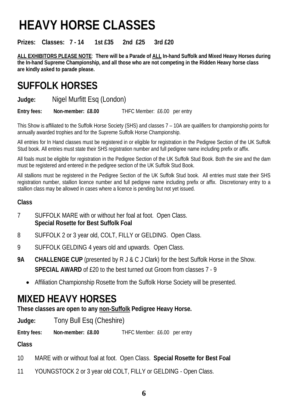# **HEAVY HORSE CLASSES**

**Prizes: Classes: 7 - 14 1st £35 2nd £25 3rd £20**

**ALL EXHIBITORS PLEASE NOTE**: **There will be a Parade of ALL In-hand Suffolk and Mixed Heavy Horses during the In-hand Supreme Championship, and all those who are not competing in the Ridden Heavy horse class are kindly asked to parade please.** 

## **SUFFOLK HORSES**

**Judge:** Nigel Murfitt Esq (London)

**Entry fees: Non-member: £8.00** THFC Member: £6.00 per entry

This Show is affiliated to the Suffolk Horse Society (SHS) and classes 7 – 10A are qualifiers for championship points for annually awarded trophies and for the Supreme Suffolk Horse Championship.

All entries for In Hand classes must be registered in or eligible for registration in the Pedigree Section of the UK Suffolk Stud book. All entries must state their SHS registration number and full pedigree name including prefix or affix.

All foals must be eligible for registration in the Pedigree Section of the UK Suffolk Stud Book. Both the sire and the dam must be registered and entered in the pedigree section of the UK Suffolk Stud Book.

All stallions must be registered in the Pedigree Section of the UK Suffolk Stud book. All entries must state their SHS registration number, stallion licence number and full pedigree name including prefix or affix. Discretionary entry to a stallion class may be allowed in cases where a licence is pending but not yet issued.

#### **Class**

- 7 SUFFOLK MARE with or without her foal at foot. Open Class. **Special Rosette for Best Suffolk Foal**
- 8 SUFFOLK 2 or 3 year old, COLT, FILLY or GELDING. Open Class.
- 9 SUFFOLK GELDING 4 years old and upwards. Open Class.
- **9A CHALLENGE CUP** (presented by R J & C J Clark) for the best Suffolk Horse in the Show. **SPECIAL AWARD** of £20 to the best turned out Groom from classes 7 - 9
	- Affiliation Championship Rosette from the Suffolk Horse Society will be presented.

## **MIXED HEAVY HORSES**

**These classes are open to any non-Suffolk Pedigree Heavy Horse.**

**Judge:** Tony Bull Esq (Cheshire)

**Entry fees: Non-member: £8.00** THFC Member: £6.00 per entry

- 10 MARE with or without foal at foot. Open Class. **Special Rosette for Best Foal**
- 11 YOUNGSTOCK 2 or 3 year old COLT, FILLY or GELDING Open Class.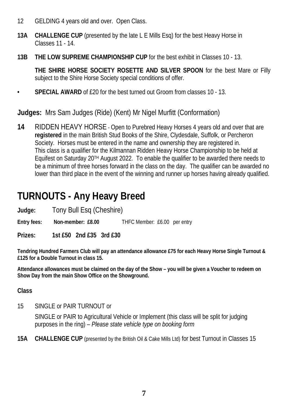- 12 GELDING 4 years old and over. Open Class.
- **13A CHALLENGE CUP** (presented by the late L E Mills Esq) for the best Heavy Horse in Classes 11 - 14.
- **13B THE LOW SUPREME CHAMPIONSHIP CUP** for the best exhibit in Classes 10 13.

**THE SHIRE HORSE SOCIETY ROSETTE AND SILVER SPOON** for the best Mare or Filly subject to the Shire Horse Society special conditions of offer.

**• SPECIAL AWARD** of £20 for the best turned out Groom from classes 10 - 13.

**Judges:** Mrs Sam Judges (Ride) (Kent) Mr Nigel Murfitt (Conformation)

**14** RIDDEN HEAVY HORSE - Open to Purebred Heavy Horses 4 years old and over that are **registered** in the main British Stud Books of the Shire, Clydesdale, Suffolk, or Percheron Society. Horses must be entered in the name and ownership they are registered in. This class is a qualifier for the Kilmannan Ridden Heavy Horse Championship to be held at Equifest on Saturday 20TH August 2022. To enable the qualifier to be awarded there needs to be a minimum of three horses forward in the class on the day. The qualifier can be awarded no lower than third place in the event of the winning and runner up horses having already qualified.

## **TURNOUTS - Any Heavy Breed**

**Judge:** Tony Bull Esq (Cheshire)<br>Entry fees: Non-member: £8.00

**ENDIFIC Member: £6.00 per entry:** 

#### **Prizes: 1st £50 2nd £35 3rd £30**

**Tendring Hundred Farmers Club will pay an attendance allowance £75 for each Heavy Horse Single Turnout & £125 for a Double Turnout in class 15.** 

**Attendance allowances must be claimed on the day of the Show – you will be given a Voucher to redeem on Show Day from the main Show Office on the Showground.**

#### **Class**

15 SINGLE or PAIR TURNOUT or

SINGLE or PAIR to Agricultural Vehicle or Implement (this class will be split for judging purposes in the ring) – *Please state vehicle type on booking form*

**15A CHALLENGE CUP** (presented by the British Oil & Cake Mills Ltd) for best Turnout in Classes 15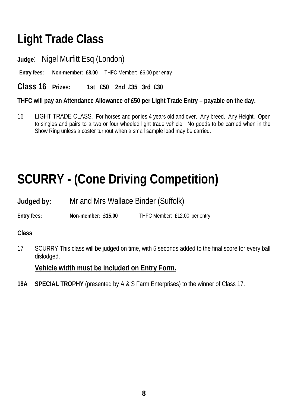# **Light Trade Class**

**Judge**: Nigel Murfitt Esq (London)

**Entry fees: Non-member: £8.00** THFC Member: £6.00 per entry

**Class 16 Prizes: 1st £50 2nd £35 3rd £30** 

**THFC will pay an Attendance Allowance of £50 per Light Trade Entry – payable on the day.**

16 LIGHT TRADE CLASS. For horses and ponies 4 years old and over. Any breed. Any Height. Open to singles and pairs to a two or four wheeled light trade vehicle. No goods to be carried when in the Show Ring unless a coster turnout when a small sample load may be carried.

# **SCURRY - (Cone Driving Competition)**

**Judged by:** Mr and Mrs Wallace Binder (Suffolk)

**Entry fees:** Non-member: £15.00 THFC Member: £12.00 per entry

**Class**

17 SCURRY This class will be judged on time, with 5 seconds added to the final score for every ball dislodged.

**Vehicle width must be included on Entry Form.**

**18A SPECIAL TROPHY** (presented by A & S Farm Enterprises) to the winner of Class 17.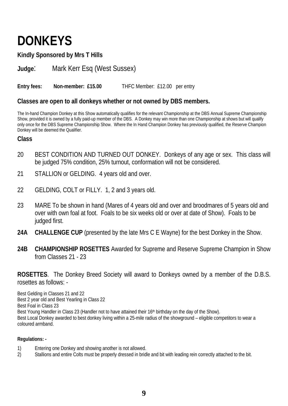# **DONKEYS**

**Kindly Sponsored by Mrs T Hills**

**Judge**: Mark Kerr Esq (West Sussex)

**Entry fees: Non-member: £15.00** THFC Member: £12.00 per entry

#### **Classes are open to all donkeys whether or not owned by DBS members.**

The In-hand Champion Donkey at this Show automatically qualifies for the relevant Championship at the DBS Annual Supreme Championship Show, provided it is owned by a fully paid-up member of the DBS. A Donkey may win more than one Championship at shows but will qualify only once for the DBS Supreme Championship Show. Where the In Hand Champion Donkey has previously qualified, the Reserve Champion Donkey will be deemed the Qualifier.

#### **Class**

- 20 BEST CONDITION AND TURNED OUT DONKEY. Donkeys of any age or sex. This class will be judged 75% condition, 25% turnout, conformation will not be considered.
- 21 STALLION or GELDING. 4 years old and over.
- 22 GELDING, COLT or FILLY. 1, 2 and 3 years old.
- 23 MARE To be shown in hand (Mares of 4 years old and over and broodmares of 5 years old and over with own foal at foot. Foals to be six weeks old or over at date of Show). Foals to be judged first.
- **24A CHALLENGE CUP** (presented by the late Mrs C E Wayne) for the best Donkey in the Show.
- **24B CHAMPIONSHIP ROSETTES** Awarded for Supreme and Reserve Supreme Champion in Show from Classes 21 - 23

**ROSETTES**. The Donkey Breed Society will award to Donkeys owned by a member of the D.B.S. rosettes as follows: -

Best Gelding in Classes 21 and 22 Best 2 year old and Best Yearling in Class 22 Best Foal in Class 23 Best Young Handler in Class 23 (Handler not to have attained their 16<sup>th</sup> birthday on the day of the Show). Best Local Donkey awarded to best donkey living within a 25-mile radius of the showground – eligible competitors to wear a coloured armband.

#### **Regulations: -**

- 1) Entering one Donkey and showing another is not allowed.
- 2) Stallions and entire Colts must be properly dressed in bridle and bit with leading rein correctly attached to the bit.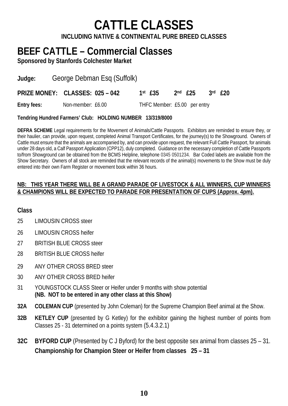# **CATTLE CLASSES**

**INCLUDING NATIVE & CONTINENTAL PURE BREED CLASSES**

## **BEEF CATTLE – Commercial Classes**

**Sponsored by Stanfords Colchester Market**

**Judge:** George Debman Esq (Suffolk)

**PRIZE MONEY: CLASSES: 025 – 042 1st £35 2nd £25 3rd £20** 

**Entry fees:** Non-member: £6.00 THFC Member: £5.00 per entry

**Tendring Hundred Farmers' Club: HOLDING NUMBER 13/319/8000**

**DEFRA SCHEME** Legal requirements for the Movement of Animals/Cattle Passports. Exhibitors are reminded to ensure they, or their haulier, can provide, upon request, completed Animal Transport Certificates, for the journey(s) to the Showground. Owners of Cattle must ensure that the animals are accompanied by, and can provide upon request, the relevant Full Cattle Passport, for animals under 28 days old, a Calf Passport Application (CPP12), duly completed. Guidance on the necessary completion of Cattle Passports to/from Showground can be obtained from the BCMS Helpline, telephone 0345 0501234. Bar Coded labels are available from the Show Secretary. Owners of all stock are reminded that the relevant records of the animal(s) movements to the Show must be duly entered into their own Farm Register or movement book within 36 hours.

#### **NB: THIS YEAR THERE WILL BE A GRAND PARADE OF LIVESTOCK & ALL WINNERS, CUP WINNERS & CHAMPIONS WILL BE EXPECTED TO PARADE FOR PRESENTATION OF CUPS (Approx. 4pm).**

- 25 LIMOUSIN CROSS steer
- 26 LIMOUSIN CROSS heifer
- 27 BRITISH BLUE CROSS steer
- 28 BRITISH BLUE CROSS heifer
- 29 ANY OTHER CROSS BRED steer
- 30 ANY OTHER CROSS BRED heifer
- 31 YOUNGSTOCK CLASS Steer or Heifer under 9 months with show potential **(NB. NOT to be entered in any other class at this Show)**
- **32A COLEMAN CUP** (presented by John Coleman) for the Supreme Champion Beef animal at the Show.
- **32B KETLEY CUP** (presented by G Ketley) for the exhibitor gaining the highest number of points from Classes 25 - 31 determined on a points system (5.4.3.2.1)
- **32C BYFORD CUP** (Presented by C J Byford) for the best opposite sex animal from classes 25 31. **Championship for Champion Steer or Heifer from classes 25 – 31**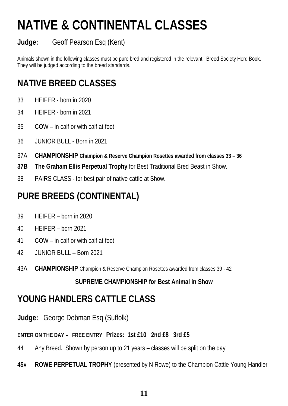# **NATIVE & CONTINENTAL CLASSES**

### **Judge:** Geoff Pearson Esq (Kent)

Animals shown in the following classes must be pure bred and registered in the relevant Breed Society Herd Book. They will be judged according to the breed standards.

## **NATIVE BREED CLASSES**

- 33 HEIFER born in 2020
- 34 HEIFER born in 2021
- 35 COW in calf or with calf at foot
- 36 JUNIOR BULL Born in 2021
- 37A **CHAMPIONSHIP Champion & Reserve Champion Rosettes awarded from classes 33 36**
- **37B The Graham Ellis Perpetual Trophy** for Best Traditional Bred Beast in Show.
- 38 PAIRS CLASS for best pair of native cattle at Show.

## **PURE BREEDS (CONTINENTAL)**

- 39 HEIFER born in 2020
- 40 HEIFER born 2021
- 41 COW in calf or with calf at foot
- 42 JUNIOR BULL Born 2021
- 43A **CHAMPIONSHIP** Champion & Reserve Champion Rosettes awarded from classes 39 42

#### **SUPREME CHAMPIONSHIP for Best Animal in Show**

### **YOUNG HANDLERS CATTLE CLASS**

**Judge:** George Debman Esq (Suffolk)

### **ENTER ON THE DAY – FREE ENTRY Prizes: 1st £10 2nd £8 3rd £5**

- 44 Any Breed. Shown by person up to 21 years classes will be split on the day
- **45A ROWE PERPETUAL TROPHY** (presented by N Rowe) to the Champion Cattle Young Handler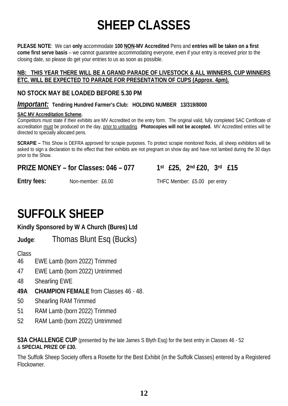# **SHEEP CLASSES**

**PLEASE NOTE**: We can **only** accommodate **100 NON-MV Accredited** Pens and **entries will be taken on a first come first serve basis** – we cannot guarantee accommodating everyone, even if your entry is received prior to the closing date, so please do get your entries to us as soon as possible.

#### **NB: THIS YEAR THERE WILL BE A GRAND PARADE OF LIVESTOCK & ALL WINNERS, CUP WINNERS ETC. WILL BE EXPECTED TO PARADE FOR PRESENTATION OF CUPS (Approx. 4pm).**

#### **NO STOCK MAY BE LOADED BEFORE 5.30 PM**

#### *Important:* **Tendring Hundred Farmer's Club: HOLDING NUMBER 13/319/8000**

#### **SAC MV Accreditation Scheme.**

Competitors must state if their exhibits are MV Accredited on the entry form. The original valid, fully completed SAC Certificate of accreditation must be produced on the day, prior to unloading. **Photocopies will not be accepted.** MV Accredited entries will be directed to specially allocated pens.

**SCRAPIE –** This Show is DEFRA approved for scrapie purposes. To protect scrapie monitored flocks, all sheep exhibitors will be asked to sign a declaration to the effect that their exhibits are not pregnant on show day and have not lambed during the 30 days prior to the Show.

#### **PRIZE MONEY – for Classes: 046 – 077 1st £25, 2nd £20, 3rd £15**

**Entry fees:** Non-member: £6.00 THFC Member: £5.00 per entry

## **SUFFOLK SHEEP**

#### **Kindly Sponsored by W A Church (Bures) Ltd**

**Judge**: Thomas Blunt Esq (Bucks)

**Class** 

- 46 EWE Lamb (born 2022) Trimmed
- 47 EWE Lamb (born 2022) Untrimmed
- 48 Shearling EWE
- **49A CHAMPION FEMALE** from Classes 46 48.
- 50 Shearling RAM Trimmed
- 51 RAM Lamb (born 2022) Trimmed
- 52 RAM Lamb (born 2022) Untrimmed

**53A CHALLENGE CUP** (presented by the late James S Blyth Esq) for the best entry in Classes 46 - 52 & **SPECIAL PRIZE OF £30.**

The Suffolk Sheep Society offers a Rosette for the Best Exhibit (in the Suffolk Classes) entered by a Registered Flockowner.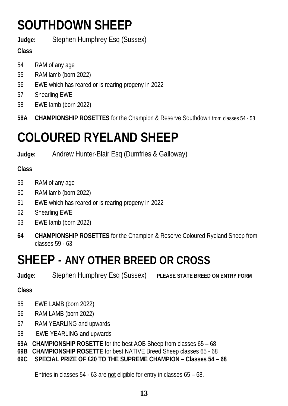# **SOUTHDOWN SHEEP**

**Judge:** Stephen Humphrey Esq (Sussex)

### **Class**

- 54 RAM of any age
- 55 RAM lamb (born 2022)
- 56 EWE which has reared or is rearing progeny in 2022
- 57 Shearling EWE
- 58 EWE lamb (born 2022)
- **58A CHAMPIONSHIP ROSETTES** for the Champion & Reserve Southdown from classes 54 58

# **COLOURED RYELAND SHEEP**

**Judge:** Andrew Hunter-Blair Esq (Dumfries & Galloway)

### **Class**

- 59 RAM of any age
- 60 RAM lamb (born 2022)
- 61 EWE which has reared or is rearing progeny in 2022
- 62 Shearling EWE
- 63 EWE lamb (born 2022)
- **64 CHAMPIONSHIP ROSETTES** for the Champion & Reserve Coloured Ryeland Sheep from classes 59 - 63

# **SHEEP - ANY OTHER BREED OR CROSS**

**Judge:** Stephen Humphrey Esq (Sussex) **PLEASE STATE BREED ON ENTRY FORM**

### **Class**

- 65 EWE LAMB (born 2022)
- 66 RAM LAMB (born 2022)
- 67 RAM YEARLING and upwards
- 68 EWE YEARLING and upwards
- **69A CHAMPIONSHIP ROSETTE** for the best AOB Sheep from classes 65 68
- **69B CHAMPIONSHIP ROSETTE** for best NATIVE Breed Sheep classes 65 68
- **69C SPECIAL PRIZE OF £20 TO THE SUPREME CHAMPION Classes 54 68**

Entries in classes 54 - 63 are not eligible for entry in classes 65 – 68.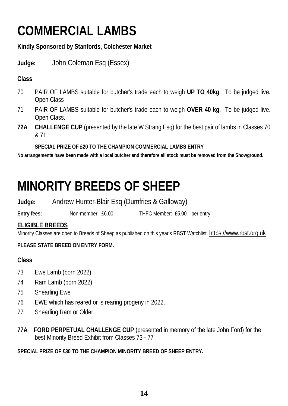# **COMMERCIAL LAMBS**

#### **Kindly Sponsored by Stanfords, Colchester Market**

**Judge:** John Coleman Esq (Essex)

#### **Class**

- 70 PAIR OF LAMBS suitable for butcher's trade each to weigh **UP TO 40kg**. To be judged live. Open Class
- 71 PAIR OF LAMBS suitable for butcher's trade each to weigh **OVER 40 kg**. To be judged live. Open Class.
- **72A CHALLENGE CUP** (presented by the late W Strang Esq) for the best pair of lambs in Classes 70 & 71

**SPECIAL PRIZE OF £20 TO THE CHAMPION COMMERCIAL LAMBS ENTRY**

**No arrangements have been made with a local butcher and therefore all stock must be removed from the Showground.**

# **MINORITY BREEDS OF SHEEP**

**Judge:** Andrew Hunter-Blair Esq (Dumfries & Galloway)

**Entry fees:** Non-member: £6.00 THFC Member: £5.00 per entry

#### **ELIGIBLE BREEDS**

Minority Classes are open to Breeds of Sheep as published on this year's RBST Watchlist. [https://www.rbst.org.uk](https://www.rbst.org.uk/)

#### **PLEASE STATE BREED ON ENTRY FORM.**

#### **Class**

- 73 Ewe Lamb (born 2022)
- 74 Ram Lamb (born 2022)
- 75 Shearling Ewe
- 76 EWE which has reared or is rearing progeny in 2022.
- 77 Shearling Ram or Older.
- **77A FORD PERPETUAL CHALLENGE CUP** (presented in memory of the late John Ford) for the best Minority Breed Exhibit from Classes 73 - 77

#### **SPECIAL PRIZE OF £30 TO THE CHAMPION MINORITY BREED OF SHEEP ENTRY.**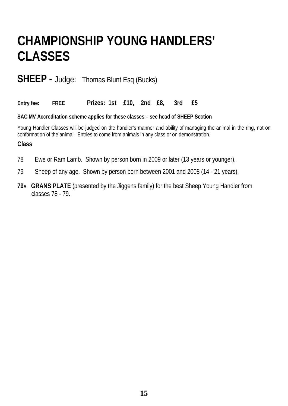# **CHAMPIONSHIP YOUNG HANDLERS' CLASSES**

### **SHEEP -** Judge: Thomas Blunt Esq (Bucks)

**Entry fee: FREE Prizes: 1st £10, 2nd £8, 3rd £5**

#### **SAC MV Accreditation scheme applies for these classes – see head of SHEEP Section**

Young Handler Classes will be judged on the handler's manner and ability of managing the animal in the ring, not on conformation of the animal. Entries to come from animals in any class or on demonstration.

- 78 Ewe or Ram Lamb. Shown by person born in 2009 or later (13 years or younger).
- 79 Sheep of any age. Shown by person born between 2001 and 2008 (14 21 years).
- **79A GRANS PLATE** (presented by the Jiggens family) for the best Sheep Young Handler from classes 78 - 79.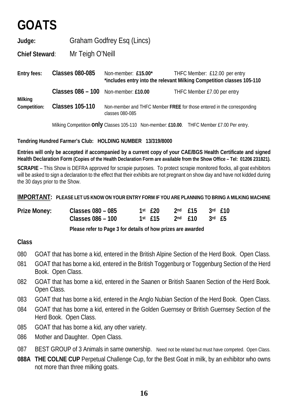# **GOATS**

**Judge:** Graham Godfrey Esq (Lincs)

**Chief Steward**: Mr Teigh O'Neill

**Entry fees: Classes 080-085** Non-member: **£15.00\*** THFC Member: £12.00 per entry **\*includes entry into the relevant Milking Competition classes 105-110 Classes 086 – 100** Non-member: **£10.00** THFC Member £7.00 per entry **Milking Competition: Classes 105-110** Non-member and THFC Member **FREE** for those entered in the corresponding classes 080-085

Milking Competition **only** Classes 105-110 Non-member: **£10.00**. THFC Member £7.00 Per entry.

#### **Tendring Hundred Farmer's Club: HOLDING NUMBER 13/319/8000**

**Entries will only be accepted if accompanied by a current copy of your CAE/BGS Health Certificate and signed Health Declaration Form (Copies of the Health Declaration Form are available from the Show Office – Tel: 01206 231821).**

**SCRAPIE** – This Show is DEFRA approved for scrapie purposes. To protect scrapie monitored flocks, all goat exhibitors will be asked to sign a declaration to the effect that their exhibits are not pregnant on show day and have not kidded during the 30 days prior to the Show.

**IMPORTANT: PLEASE LET US KNOW ON YOUR ENTRY FORM IF YOU ARE PLANNING TO BRING A MILKING MACHINE**

| <b>Prize Money:</b> | Classes 080 - 085 | 1st £20 2nd £15 3rd £10                   |  |  |
|---------------------|-------------------|-------------------------------------------|--|--|
|                     | Classes 086 - 100 | $1$ st $£15$ $2^{nd}$ $£10$ $3^{rd}$ $£5$ |  |  |

 **Please refer to Page 3 for details of how prizes are awarded**

- 080 GOAT that has borne a kid, entered in the British Alpine Section of the Herd Book. Open Class.
- 081 GOAT that has borne a kid, entered in the British Toggenburg or Toggenburg Section of the Herd Book. Open Class.
- 082 GOAT that has borne a kid, entered in the Saanen or British Saanen Section of the Herd Book. Open Class.
- 083 GOAT that has borne a kid, entered in the Anglo Nubian Section of the Herd Book. Open Class.
- 084 GOAT that has borne a kid, entered in the Golden Guernsey or British Guernsey Section of the Herd Book. Open Class.
- 085 GOAT that has borne a kid, any other variety.
- 086 Mother and Daughter. Open Class.
- 087 BEST GROUP of 3 Animals in same ownership. Need not be related but must have competed. Open Class.
- **088A THE COLNE CUP** Perpetual Challenge Cup, for the Best Goat in milk, by an exhibitor who owns not more than three milking goats.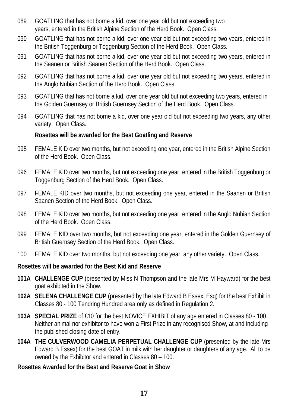- 089 GOATLING that has not borne a kid, over one year old but not exceeding two years, entered in the British Alpine Section of the Herd Book. Open Class.
- 090 GOATLING that has not borne a kid, over one year old but not exceeding two years, entered in the British Toggenburg or Toggenburg Section of the Herd Book. Open Class.
- 091 GOATLING that has not borne a kid, over one year old but not exceeding two years, entered in the Saanen or British Saanen Section of the Herd Book. Open Class.
- 092 GOATLING that has not borne a kid, over one year old but not exceeding two years, entered in the Anglo Nubian Section of the Herd Book. Open Class.
- 093 GOATLING that has not borne a kid, over one year old but not exceeding two years, entered in the Golden Guernsey or British Guernsey Section of the Herd Book. Open Class.
- 094 GOATLING that has not borne a kid, over one year old but not exceeding two years, any other variety. Open Class.

#### **Rosettes will be awarded for the Best Goatling and Reserve**

- 095 FEMALE KID over two months, but not exceeding one year, entered in the British Alpine Section of the Herd Book. Open Class.
- 096 FEMALE KID over two months, but not exceeding one year, entered in the British Toggenburg or Toggenburg Section of the Herd Book. Open Class.
- 097 FEMALE KID over two months, but not exceeding one year, entered in the Saanen or British Saanen Section of the Herd Book. Open Class.
- 098 FEMALE KID over two months, but not exceeding one year, entered in the Anglo Nubian Section of the Herd Book. Open Class.
- 099 FEMALE KID over two months, but not exceeding one year, entered in the Golden Guernsey of British Guernsey Section of the Herd Book. Open Class.
- 100 FEMALE KID over two months, but not exceeding one year, any other variety. Open Class.

#### **Rosettes will be awarded for the Best Kid and Reserve**

- **101A CHALLENGE CUP** (presented by Miss N Thompson and the late Mrs M Hayward) for the best goat exhibited in the Show.
- **102A SELENA CHALLENGE CUP** (presented by the late Edward B Essex, Esq) for the best Exhibit in Classes 80 - 100 Tendring Hundred area only as defined in Regulation 2.
- **103A SPECIAL PRIZE** of £10 for the best NOVICE EXHIBIT of any age entered in Classes 80 100. Neither animal nor exhibitor to have won a First Prize in any recognised Show, at and including the published closing date of entry.
- **104A THE CULVERWOOD CAMELIA PERPETUAL CHALLENGE CUP** (presented by the late Mrs Edward B Essex) for the best GOAT in milk with her daughter or daughters of any age. All to be owned by the Exhibitor and entered in Classes 80 – 100.

#### **Rosettes Awarded for the Best and Reserve Goat in Show**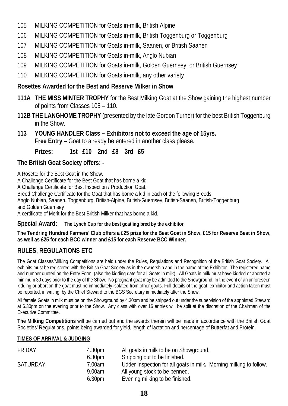- 105 MILKING COMPETITION for Goats in-milk, British Alpine
- 106 MILKING COMPETITION for Goats in-milk, British Toggenburg or Toggenburg
- 107 MILKING COMPETITION for Goats in-milk, Saanen, or British Saanen
- 108 MILKING COMPETITION for Goats in-milk, Anglo Nubian
- 109 MILKING COMPETITION for Goats in-milk, Golden Guernsey, or British Guernsey
- 110 MILKING COMPETITION for Goats in-milk, any other variety

#### **Rosettes Awarded for the Best and Reserve Milker in Show**

- **111A THE MISS MINTER TROPHY** for the Best Milking Goat at the Show gaining the highest number of points from Classes 105 – 110.
- **112B THE LANGHOME TROPHY** (presented by the late Gordon Turner) for the best British Toggenburg in the Show.
- **113 YOUNG HANDLER Class Exhibitors not to exceed the age of 15yrs. Free Entry** – Goat to already be entered in another class please.

**Prizes: 1st £10 2nd £8 3rd £5** 

#### **The British Goat Society offers: -**

A Rosette for the Best Goat in the Show.

A Challenge Certificate for the Best Goat that has borne a kid.

A Challenge Certificate for Best Inspection / Production Goat.

Breed Challenge Certificate for the Goat that has borne a kid in each of the following Breeds,

Anglo Nubian, Saanen, Toggenburg, British-Alpine, British-Guernsey, British-Saanen, British-Toggenburg and Golden Guernsey

A certificate of Merit for the Best British Milker that has borne a kid.

#### **Special Award: The Lynch Cup for the best goatling bred by the exhibitor**

#### **The Tendring Hundred Farmers' Club offers a £25 prize for the Best Goat in Show, £15 for Reserve Best in Show, as well as £25 for each BCC winner and £15 for each Reserve BCC Winner.**

#### **RULES, REGULATIONS ETC**

The Goat Classes/Milking Competitions are held under the Rules, Regulations and Recognition of the British Goat Society. All exhibits must be registered with the British Goat Society as in the ownership and in the name of the Exhibitor. The registered name and number quoted on the Entry Form, (also the kidding date for all Goats in milk). All Goats in milk must have kidded or aborted a minimum 30 days prior to the day of the Show. No pregnant goat may be admitted to the Showground. In the event of an unforeseen kidding or abortion the goat must be immediately isolated from other goats. Full details of the goat, exhibitor and action taken must be reported, in writing, by the Chief Steward to the BGS Secretary immediately after the Show.

All female Goats in milk must be on the Showground by 4.30pm and be stripped out under the supervision of the appointed Steward at 6.30pm on the evening prior to the Show. Any class with over 16 entries will be split at the discretion of the Chairman of the Executive Committee.

**The Milking Competitions** will be carried out and the awards therein will be made in accordance with the British Goat Societies' Regulations, points being awarded for yield, length of lactation and percentage of Butterfat and Protein.

#### **TIMES OF ARRIVAL & JUDGING**

| <b>FRIDAY</b>   | 4.30 <sub>pm</sub> | All goats in milk to be on Showground.                             |
|-----------------|--------------------|--------------------------------------------------------------------|
|                 | 6.30 <sub>pm</sub> | Stripping out to be finished.                                      |
| <b>SATURDAY</b> | 7.00am             | Udder Inspection for all goats in milk. Morning milking to follow. |
|                 | 9.00am             | All young stock to be penned.                                      |
|                 | 6.30 <sub>pm</sub> | Evening milking to be finished.                                    |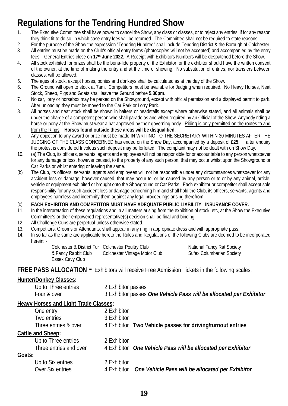## **Regulations for the Tendring Hundred Show**

- 1. The Executive Committee shall have power to cancel the Show, any class or classes, or to reject any entries, if for any reason they think fit to do so, in which case entry fees will be returned. The Committee shall not be required to state reasons.
- 2. For the purpose of the Show the expression "Tendring Hundred" shall include Tendring District & the Borough of Colchester. 3. All entries must be made on the Club's official entry forms (photocopies will not be accepted) and accompanied by the entry fees. General Entries close on **17th June 2022.** A Receipt with Exhibitors Numbers will be despatched before the Show.
- 4. All stock exhibited for prizes shall be the bona-fide property of the Exhibitor, or the exhibitor should have the written consent of the owner, at the time of making the entry and at the time of showing. No substitution of entries, nor transfers between classes, will be allowed.
- 5. The ages of stock, except horses, ponies and donkeys shall be calculated as at the day of the Show.
- 6. The Ground will open to stock at 7am. Competitors must be available for Judging when required. No Heavy Horses, Neat Stock, Sheep, Pigs and Goats shall leave the Ground before **5.30pm**.
- 7. No car, lorry or horsebox may be parked on the Showground, except with official permission and a displayed permit to park. After unloading they must be moved to the Car Park or Lorry Park.
- 8. All horses and neat stock shall be shown in halters or headstalls except where otherwise stated, and all animals shall be under the charge of a competent person who shall parade as and when required by an Official of the Show. Anybody riding a horse or pony at the Show must wear a hat approved by their governing body. Riding is only permitted on the routes to and from the Rings **Horses found outside these areas will be disqualified.**
- 9. Any objection to any award or prize must be made IN WRITING TO THE SECRETARY WITHIN 30 MINUTES AFTER THE JUDGING OF THE CLASS CONCERNED has ended on the Show Day, accompanied by a deposit of **£25**. If after enquiry the protest is considered frivolous such deposit may be forfeited. The complaint may not be dealt with on Show Day.
- 10. (a) The Club, its officers, servants, agents and employees will not be responsible for or accountable to any person whatsoever for any damage or loss, however caused, to the property of any such person, that may occur whilst upon the Showground or Car Parks or whilst entering or leaving the same.
- (b) The Club, its officers, servants, agents and employees will not be responsible under any circumstances whatsoever for any accident loss or damage, however caused, that may occur to, or be caused by any person or to or by any animal, article, vehicle or equipment exhibited or brought onto the Showground or Car Parks. Each exhibitor or competitor shall accept sole responsibility for any such accident loss or damage concerning him and shall hold the Club, its officers, servants, agents and employees harmless and indemnify them against any legal proceedings arising therefrom.
- (c) **EACH EXHIBITOR AND COMPETITOR MUST HAVE ADEQUATE PUBLIC LIABILITY INSURANCE COVER.**
- 11. In the interpretation of these regulations and in all matters arising from the exhibition of stock, etc, at the Show the Executive Committee's or their empowered representative(s) decision shall be final and binding.
- 12. All Challenge Cups are perpetual unless otherwise stated.
- 13. Competitors, Grooms or Attendants, shall appear in any ring in appropriate dress and with appropriate pass.
- 14. In so far as the same are applicable hereto the Rules and Regulations of the following Clubs are deemed to be incorporated herein: -

|                     | Colchester & District Fur Colchester Poultry Club | <b>National Fancy Rat Society</b> |
|---------------------|---------------------------------------------------|-----------------------------------|
| & Fancy Rabbit Club | Colchester Vintage Motor Club                     | <b>Sufex Columbarian Society</b>  |
| Essex Cavy Club     |                                                   |                                   |

#### **FREE PASS ALLOCATION - Exhibitors will receive Free Admission Tickets in the following scales:**

#### **Hunter/Donkey Classes:**

| Up to Three entries | 2 Exhibitor passes                                                  |
|---------------------|---------------------------------------------------------------------|
| Four & over         | 3 Exhibitor passes One Vehicle Pass will be allocated per Exhibitor |

#### **Heavy Horses and Light Trade Classes:**

|        | One entry                | 2 Exhibitor |                                                              |
|--------|--------------------------|-------------|--------------------------------------------------------------|
|        | Two entries              | 3 Exhibitor |                                                              |
|        | Three entries & over     |             | 4 Exhibitor Two Vehicle passes for driving/turnout entries   |
|        | <b>Cattle and Sheep:</b> |             |                                                              |
|        | Up to Three entries      | 2 Exhibitor |                                                              |
|        | Three entries and over   |             | 4 Exhibitor One Vehicle Pass will be allocated per Exhibitor |
| Goats: |                          |             |                                                              |
|        | Up to Six entries        | 2 Exhibitor |                                                              |
|        | Over Six entries         | 4 Exhibitor | One Vehicle Pass will be allocated per Exhibitor             |
|        |                          |             |                                                              |